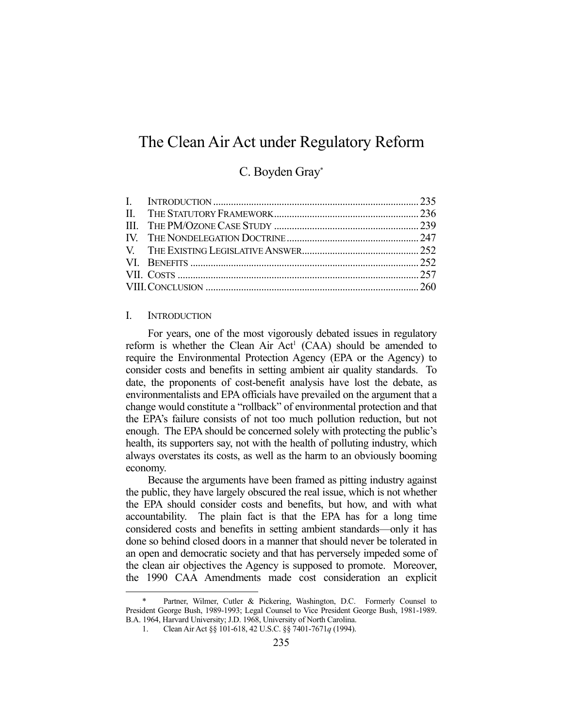# The Clean Air Act under Regulatory Reform

# C. Boyden Gray\*

#### I. INTRODUCTION

1

 For years, one of the most vigorously debated issues in regulatory reform is whether the Clean Air  $Act^1$  (CAA) should be amended to require the Environmental Protection Agency (EPA or the Agency) to consider costs and benefits in setting ambient air quality standards. To date, the proponents of cost-benefit analysis have lost the debate, as environmentalists and EPA officials have prevailed on the argument that a change would constitute a "rollback" of environmental protection and that the EPA's failure consists of not too much pollution reduction, but not enough. The EPA should be concerned solely with protecting the public's health, its supporters say, not with the health of polluting industry, which always overstates its costs, as well as the harm to an obviously booming economy.

 Because the arguments have been framed as pitting industry against the public, they have largely obscured the real issue, which is not whether the EPA should consider costs and benefits, but how, and with what accountability. The plain fact is that the EPA has for a long time considered costs and benefits in setting ambient standards—only it has done so behind closed doors in a manner that should never be tolerated in an open and democratic society and that has perversely impeded some of the clean air objectives the Agency is supposed to promote. Moreover, the 1990 CAA Amendments made cost consideration an explicit

Partner, Wilmer, Cutler & Pickering, Washington, D.C. Formerly Counsel to President George Bush, 1989-1993; Legal Counsel to Vice President George Bush, 1981-1989. B.A. 1964, Harvard University; J.D. 1968, University of North Carolina.

 <sup>1.</sup> Clean Air Act §§ 101-618, 42 U.S.C. §§ 7401-7671*q* (1994).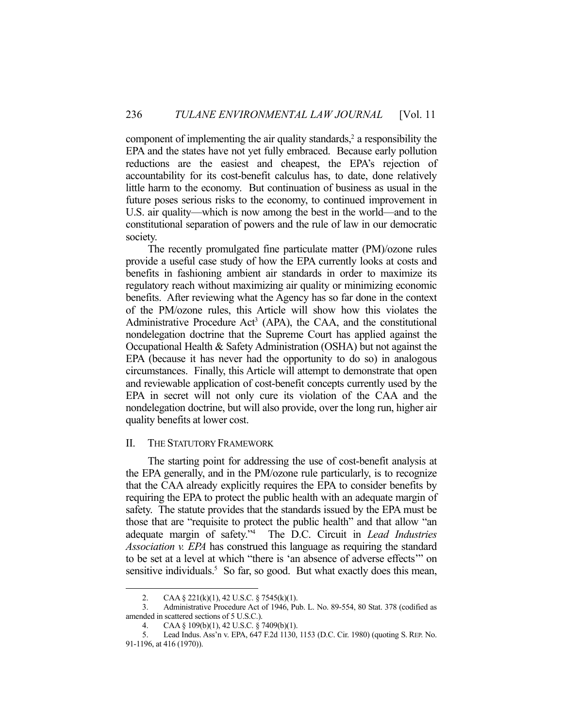component of implementing the air quality standards, $2$  a responsibility the EPA and the states have not yet fully embraced. Because early pollution reductions are the easiest and cheapest, the EPA's rejection of accountability for its cost-benefit calculus has, to date, done relatively little harm to the economy. But continuation of business as usual in the future poses serious risks to the economy, to continued improvement in U.S. air quality—which is now among the best in the world—and to the constitutional separation of powers and the rule of law in our democratic society.

 The recently promulgated fine particulate matter (PM)/ozone rules provide a useful case study of how the EPA currently looks at costs and benefits in fashioning ambient air standards in order to maximize its regulatory reach without maximizing air quality or minimizing economic benefits. After reviewing what the Agency has so far done in the context of the PM/ozone rules, this Article will show how this violates the Administrative Procedure Act<sup>3</sup> (APA), the CAA, and the constitutional nondelegation doctrine that the Supreme Court has applied against the Occupational Health & Safety Administration (OSHA) but not against the EPA (because it has never had the opportunity to do so) in analogous circumstances. Finally, this Article will attempt to demonstrate that open and reviewable application of cost-benefit concepts currently used by the EPA in secret will not only cure its violation of the CAA and the nondelegation doctrine, but will also provide, over the long run, higher air quality benefits at lower cost.

# II. THE STATUTORY FRAMEWORK

 The starting point for addressing the use of cost-benefit analysis at the EPA generally, and in the PM/ozone rule particularly, is to recognize that the CAA already explicitly requires the EPA to consider benefits by requiring the EPA to protect the public health with an adequate margin of safety. The statute provides that the standards issued by the EPA must be those that are "requisite to protect the public health" and that allow "an adequate margin of safety."4 The D.C. Circuit in *Lead Industries Association v. EPA* has construed this language as requiring the standard to be set at a level at which "there is 'an absence of adverse effects'" on sensitive individuals.<sup>5</sup> So far, so good. But what exactly does this mean,

 <sup>2.</sup> CAA § 221(k)(1), 42 U.S.C. § 7545(k)(1).

 <sup>3.</sup> Administrative Procedure Act of 1946, Pub. L. No. 89-554, 80 Stat. 378 (codified as amended in scattered sections of 5 U.S.C.).

 <sup>4.</sup> CAA § 109(b)(1), 42 U.S.C. § 7409(b)(1).

 <sup>5.</sup> Lead Indus. Ass'n v. EPA, 647 F.2d 1130, 1153 (D.C. Cir. 1980) (quoting S. REP. No. 91-1196, at 416 (1970)).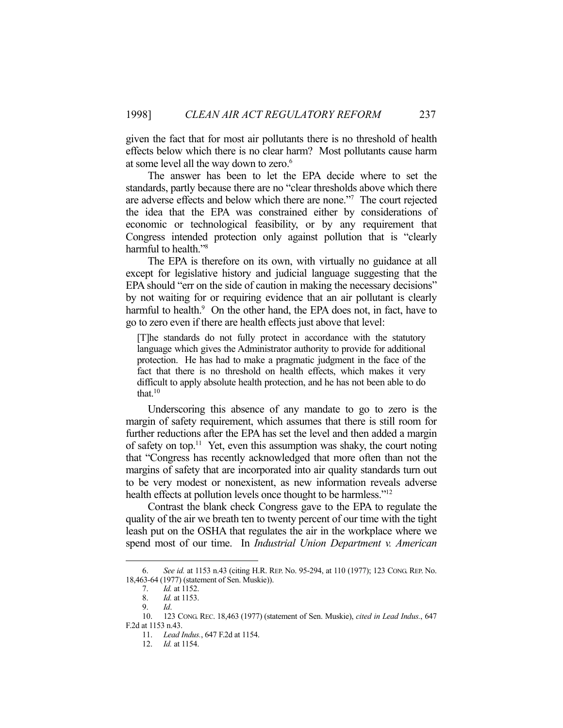given the fact that for most air pollutants there is no threshold of health effects below which there is no clear harm? Most pollutants cause harm at some level all the way down to zero.<sup>6</sup>

 The answer has been to let the EPA decide where to set the standards, partly because there are no "clear thresholds above which there are adverse effects and below which there are none."7 The court rejected the idea that the EPA was constrained either by considerations of economic or technological feasibility, or by any requirement that Congress intended protection only against pollution that is "clearly harmful to health."8

 The EPA is therefore on its own, with virtually no guidance at all except for legislative history and judicial language suggesting that the EPA should "err on the side of caution in making the necessary decisions" by not waiting for or requiring evidence that an air pollutant is clearly harmful to health.<sup>9</sup> On the other hand, the EPA does not, in fact, have to go to zero even if there are health effects just above that level:

[T]he standards do not fully protect in accordance with the statutory language which gives the Administrator authority to provide for additional protection. He has had to make a pragmatic judgment in the face of the fact that there is no threshold on health effects, which makes it very difficult to apply absolute health protection, and he has not been able to do that.<sup>10</sup>

 Underscoring this absence of any mandate to go to zero is the margin of safety requirement, which assumes that there is still room for further reductions after the EPA has set the level and then added a margin of safety on top.11 Yet, even this assumption was shaky, the court noting that "Congress has recently acknowledged that more often than not the margins of safety that are incorporated into air quality standards turn out to be very modest or nonexistent, as new information reveals adverse health effects at pollution levels once thought to be harmless."<sup>12</sup>

 Contrast the blank check Congress gave to the EPA to regulate the quality of the air we breath ten to twenty percent of our time with the tight leash put on the OSHA that regulates the air in the workplace where we spend most of our time. In *Industrial Union Department v. American* 

 <sup>6.</sup> *See id.* at 1153 n.43 (citing H.R. REP. No. 95-294, at 110 (1977); 123 CONG. REP. No. 18,463-64 (1977) (statement of Sen. Muskie)).

 <sup>7.</sup> *Id.* at 1152.

 <sup>8.</sup> *Id.* at 1153.

 <sup>9.</sup> *Id*.

 <sup>10. 123</sup> CONG. REC. 18,463 (1977) (statement of Sen. Muskie), *cited in Lead Indus.*, 647 F.2d at 1153 n.43.

 <sup>11.</sup> *Lead Indus.*, 647 F.2d at 1154.

 <sup>12.</sup> *Id.* at 1154.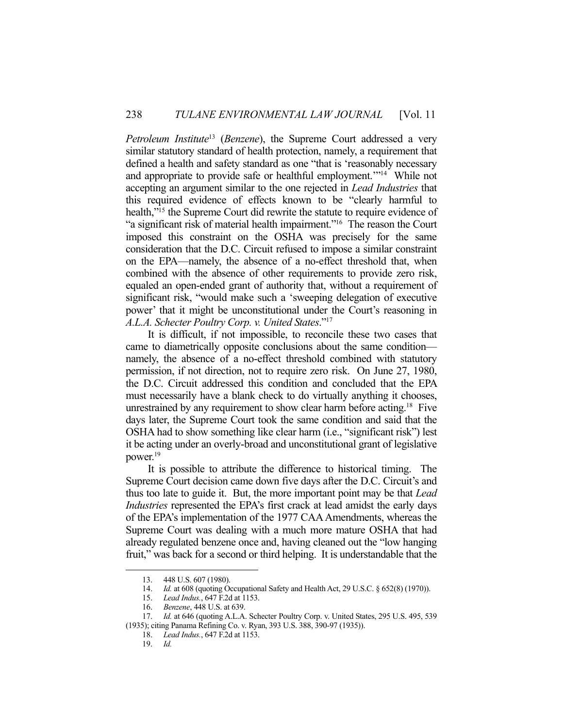*Petroleum Institute*<sup>13</sup> (*Benzene*), the Supreme Court addressed a very similar statutory standard of health protection, namely, a requirement that defined a health and safety standard as one "that is 'reasonably necessary and appropriate to provide safe or healthful employment.'"14 While not accepting an argument similar to the one rejected in *Lead Industries* that this required evidence of effects known to be "clearly harmful to health,"<sup>15</sup> the Supreme Court did rewrite the statute to require evidence of "a significant risk of material health impairment."16 The reason the Court imposed this constraint on the OSHA was precisely for the same consideration that the D.C. Circuit refused to impose a similar constraint on the EPA—namely, the absence of a no-effect threshold that, when combined with the absence of other requirements to provide zero risk, equaled an open-ended grant of authority that, without a requirement of significant risk, "would make such a 'sweeping delegation of executive power' that it might be unconstitutional under the Court's reasoning in *A.L.A. Schecter Poultry Corp. v. United States*."17

 It is difficult, if not impossible, to reconcile these two cases that came to diametrically opposite conclusions about the same condition namely, the absence of a no-effect threshold combined with statutory permission, if not direction, not to require zero risk. On June 27, 1980, the D.C. Circuit addressed this condition and concluded that the EPA must necessarily have a blank check to do virtually anything it chooses, unrestrained by any requirement to show clear harm before acting.18 Five days later, the Supreme Court took the same condition and said that the OSHA had to show something like clear harm (i.e., "significant risk") lest it be acting under an overly-broad and unconstitutional grant of legislative power.<sup>19</sup>

 It is possible to attribute the difference to historical timing. The Supreme Court decision came down five days after the D.C. Circuit's and thus too late to guide it. But, the more important point may be that *Lead Industries* represented the EPA's first crack at lead amidst the early days of the EPA's implementation of the 1977 CAA Amendments, whereas the Supreme Court was dealing with a much more mature OSHA that had already regulated benzene once and, having cleaned out the "low hanging fruit," was back for a second or third helping. It is understandable that the

 <sup>13. 448</sup> U.S. 607 (1980).

 <sup>14.</sup> *Id.* at 608 (quoting Occupational Safety and Health Act, 29 U.S.C. § 652(8) (1970)).

 <sup>15.</sup> *Lead Indus.*, 647 F.2d at 1153.

 <sup>16.</sup> *Benzene*, 448 U.S. at 639.

 <sup>17.</sup> *Id.* at 646 (quoting A.L.A. Schecter Poultry Corp. v. United States, 295 U.S. 495, 539 (1935); citing Panama Refining Co. v. Ryan, 393 U.S. 388, 390-97 (1935)).

 <sup>18.</sup> *Lead Indus.*, 647 F.2d at 1153.

 <sup>19.</sup> *Id.*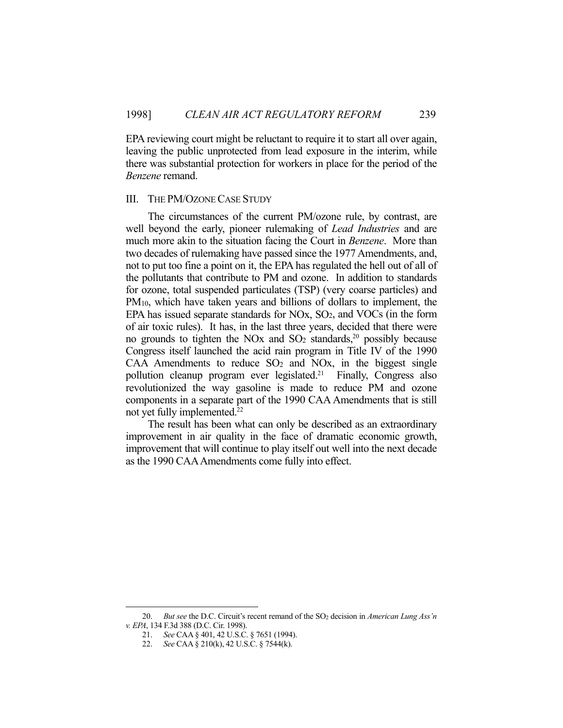EPA reviewing court might be reluctant to require it to start all over again, leaving the public unprotected from lead exposure in the interim, while there was substantial protection for workers in place for the period of the *Benzene* remand.

#### III. THE PM/OZONE CASE STUDY

 The circumstances of the current PM/ozone rule, by contrast, are well beyond the early, pioneer rulemaking of *Lead Industries* and are much more akin to the situation facing the Court in *Benzene*. More than two decades of rulemaking have passed since the 1977 Amendments, and, not to put too fine a point on it, the EPA has regulated the hell out of all of the pollutants that contribute to PM and ozone. In addition to standards for ozone, total suspended particulates (TSP) (very coarse particles) and PM10, which have taken years and billions of dollars to implement, the EPA has issued separate standards for NOx,  $SO<sub>2</sub>$ , and VOCs (in the form of air toxic rules). It has, in the last three years, decided that there were no grounds to tighten the NO<sub>x</sub> and  $SO_2$  standards,<sup>20</sup> possibly because Congress itself launched the acid rain program in Title IV of the 1990  $CAA$  Amendments to reduce  $SO<sub>2</sub>$  and  $NOx$ , in the biggest single pollution cleanup program ever legislated.21 Finally, Congress also revolutionized the way gasoline is made to reduce PM and ozone components in a separate part of the 1990 CAA Amendments that is still not yet fully implemented.<sup>22</sup>

 The result has been what can only be described as an extraordinary improvement in air quality in the face of dramatic economic growth, improvement that will continue to play itself out well into the next decade as the 1990 CAA Amendments come fully into effect.

<sup>20.</sup> *But see the D.C. Circuit's recent remand of the SO<sub>2</sub> decision in <i>American Lung Ass'n v. EPA*, 134 F.3d 388 (D.C. Cir. 1998).

 <sup>21.</sup> *See* CAA § 401, 42 U.S.C. § 7651 (1994).

 <sup>22.</sup> *See* CAA § 210(k), 42 U.S.C. § 7544(k).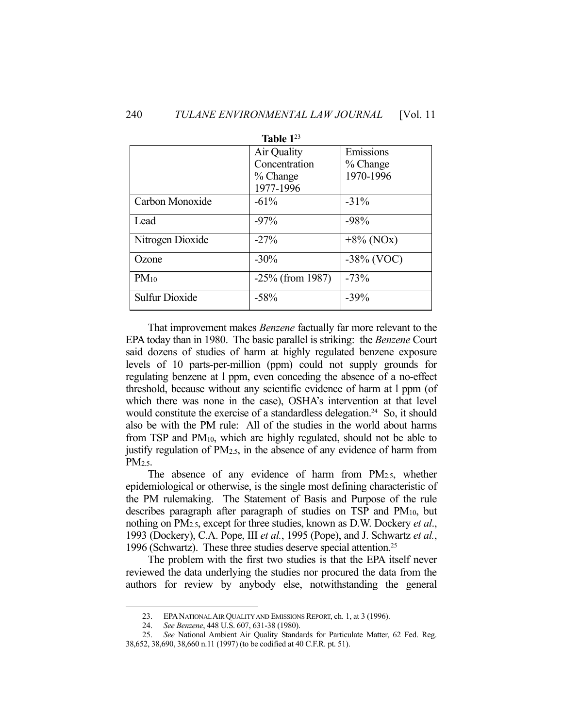| Table $1^{23}$        |                     |               |  |
|-----------------------|---------------------|---------------|--|
|                       | Air Quality         | Emissions     |  |
|                       | Concentration       | % Change      |  |
|                       | % Change            | 1970-1996     |  |
|                       | 1977-1996           |               |  |
| Carbon Monoxide       | $-61\%$             | $-31\%$       |  |
| Lead                  | $-97%$              | $-98%$        |  |
| Nitrogen Dioxide      | $-27%$              | $+8\%$ (NOx)  |  |
| Ozone                 | $-30\%$             | $-38\%$ (VOC) |  |
| $PM_{10}$             | $-25\%$ (from 1987) | $-73%$        |  |
| <b>Sulfur Dioxide</b> | $-58%$              | $-39%$        |  |

 That improvement makes *Benzene* factually far more relevant to the EPA today than in 1980. The basic parallel is striking: the *Benzene* Court said dozens of studies of harm at highly regulated benzene exposure levels of 10 parts-per-million (ppm) could not supply grounds for regulating benzene at l ppm, even conceding the absence of a no-effect threshold, because without any scientific evidence of harm at l ppm (of which there was none in the case), OSHA's intervention at that level would constitute the exercise of a standardless delegation.<sup>24</sup> So, it should also be with the PM rule: All of the studies in the world about harms from TSP and PM10, which are highly regulated, should not be able to justify regulation of PM2.5, in the absence of any evidence of harm from PM<sub>2.5</sub>.

The absence of any evidence of harm from PM<sub>2.5</sub>, whether epidemiological or otherwise, is the single most defining characteristic of the PM rulemaking. The Statement of Basis and Purpose of the rule describes paragraph after paragraph of studies on TSP and PM10, but nothing on PM2.5, except for three studies, known as D.W. Dockery *et al*., 1993 (Dockery), C.A. Pope, III *et al.*, 1995 (Pope), and J. Schwartz *et al.*, 1996 (Schwartz). These three studies deserve special attention. 25

 The problem with the first two studies is that the EPA itself never reviewed the data underlying the studies nor procured the data from the authors for review by anybody else, notwithstanding the general

 <sup>23.</sup> EPANATIONAL AIR QUALITY AND EMISSIONS REPORT, ch. 1, at 3 (1996).

 <sup>24.</sup> *See Benzene*, 448 U.S. 607, 631-38 (1980).

 <sup>25.</sup> *See* National Ambient Air Quality Standards for Particulate Matter, 62 Fed. Reg. 38,652, 38,690, 38,660 n.11 (1997) (to be codified at 40 C.F.R. pt. 51).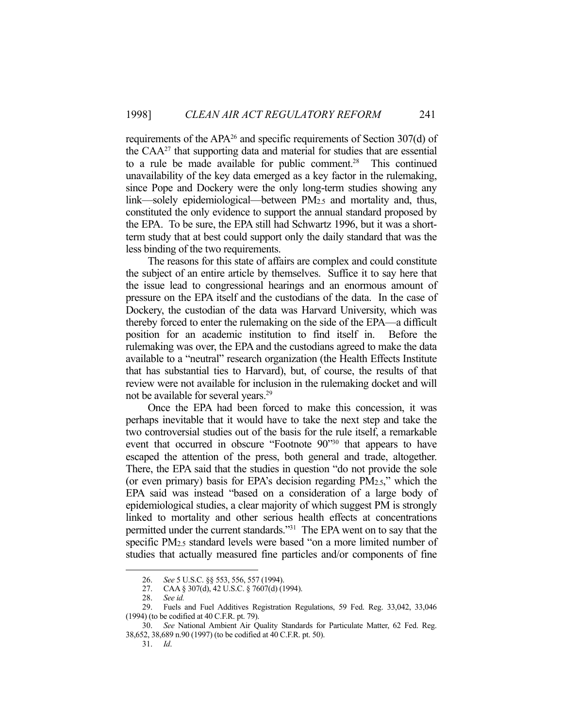requirements of the APA26 and specific requirements of Section 307(d) of the  $CAA^{27}$  that supporting data and material for studies that are essential to a rule be made available for public comment.<sup>28</sup> This continued unavailability of the key data emerged as a key factor in the rulemaking, since Pope and Dockery were the only long-term studies showing any link—solely epidemiological—between PM2.5 and mortality and, thus, constituted the only evidence to support the annual standard proposed by the EPA. To be sure, the EPA still had Schwartz 1996, but it was a shortterm study that at best could support only the daily standard that was the less binding of the two requirements.

 The reasons for this state of affairs are complex and could constitute the subject of an entire article by themselves. Suffice it to say here that the issue lead to congressional hearings and an enormous amount of pressure on the EPA itself and the custodians of the data. In the case of Dockery, the custodian of the data was Harvard University, which was thereby forced to enter the rulemaking on the side of the EPA—a difficult position for an academic institution to find itself in. Before the rulemaking was over, the EPA and the custodians agreed to make the data available to a "neutral" research organization (the Health Effects Institute that has substantial ties to Harvard), but, of course, the results of that review were not available for inclusion in the rulemaking docket and will not be available for several years.<sup>29</sup>

 Once the EPA had been forced to make this concession, it was perhaps inevitable that it would have to take the next step and take the two controversial studies out of the basis for the rule itself, a remarkable event that occurred in obscure "Footnote 90"30 that appears to have escaped the attention of the press, both general and trade, altogether. There, the EPA said that the studies in question "do not provide the sole (or even primary) basis for EPA's decision regarding PM2.5," which the EPA said was instead "based on a consideration of a large body of epidemiological studies, a clear majority of which suggest PM is strongly linked to mortality and other serious health effects at concentrations permitted under the current standards."31 The EPA went on to say that the specific PM2.5 standard levels were based "on a more limited number of studies that actually measured fine particles and/or components of fine

 <sup>26.</sup> *See* 5 U.S.C. §§ 553, 556, 557 (1994).

<sup>27.</sup> CAA § 307(d), 42 U.S.C. § 7607(d) (1994).<br>28. See id.

See id.

 <sup>29.</sup> Fuels and Fuel Additives Registration Regulations, 59 Fed. Reg. 33,042, 33,046 (1994) (to be codified at 40 C.F.R. pt. 79).

 <sup>30.</sup> *See* National Ambient Air Quality Standards for Particulate Matter, 62 Fed. Reg. 38,652, 38,689 n.90 (1997) (to be codified at 40 C.F.R. pt. 50).

 <sup>31.</sup> *Id*.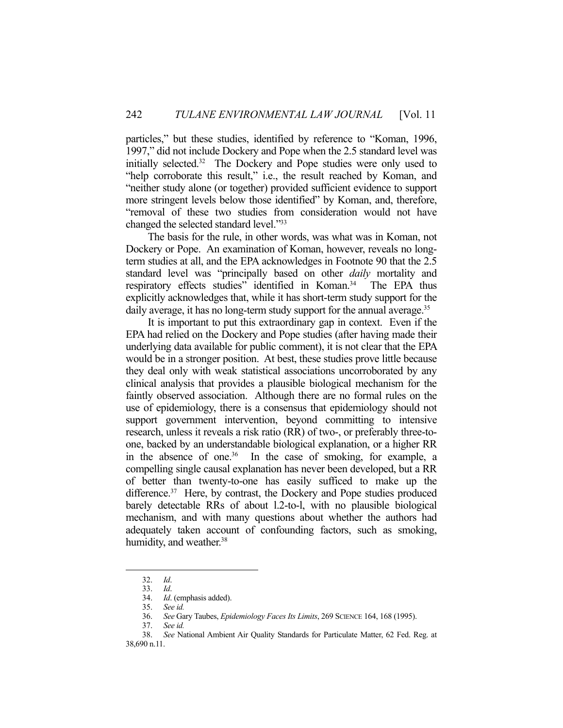particles," but these studies, identified by reference to "Koman, 1996, 1997," did not include Dockery and Pope when the 2.5 standard level was initially selected.32 The Dockery and Pope studies were only used to "help corroborate this result," i.e., the result reached by Koman, and "neither study alone (or together) provided sufficient evidence to support more stringent levels below those identified" by Koman, and, therefore, "removal of these two studies from consideration would not have changed the selected standard level."33

 The basis for the rule, in other words, was what was in Koman, not Dockery or Pope. An examination of Koman, however, reveals no longterm studies at all, and the EPA acknowledges in Footnote 90 that the 2.5 standard level was "principally based on other *daily* mortality and respiratory effects studies" identified in Koman.<sup>34</sup> The EPA thus explicitly acknowledges that, while it has short-term study support for the daily average, it has no long-term study support for the annual average.<sup>35</sup>

 It is important to put this extraordinary gap in context. Even if the EPA had relied on the Dockery and Pope studies (after having made their underlying data available for public comment), it is not clear that the EPA would be in a stronger position. At best, these studies prove little because they deal only with weak statistical associations uncorroborated by any clinical analysis that provides a plausible biological mechanism for the faintly observed association. Although there are no formal rules on the use of epidemiology, there is a consensus that epidemiology should not support government intervention, beyond committing to intensive research, unless it reveals a risk ratio (RR) of two-, or preferably three-toone, backed by an understandable biological explanation, or a higher RR in the absence of one.<sup>36</sup> In the case of smoking, for example, a compelling single causal explanation has never been developed, but a RR of better than twenty-to-one has easily sufficed to make up the difference.<sup>37</sup> Here, by contrast, the Dockery and Pope studies produced barely detectable RRs of about l.2-to-l, with no plausible biological mechanism, and with many questions about whether the authors had adequately taken account of confounding factors, such as smoking, humidity, and weather.<sup>38</sup>

 <sup>32.</sup> *Id*.

 <sup>33.</sup> *Id*.

 <sup>34.</sup> *Id*. (emphasis added).

 <sup>35.</sup> *See id.*

 <sup>36.</sup> *See* Gary Taubes, *Epidemiology Faces Its Limits*, 269 SCIENCE 164, 168 (1995).

 <sup>37.</sup> *See id.*

 <sup>38.</sup> *See* National Ambient Air Quality Standards for Particulate Matter, 62 Fed. Reg. at 38,690 n.11.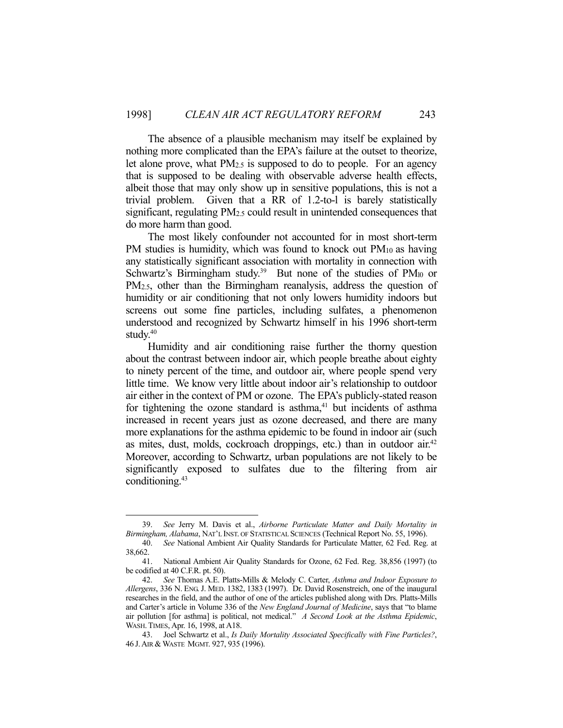The absence of a plausible mechanism may itself be explained by nothing more complicated than the EPA's failure at the outset to theorize, let alone prove, what  $PM_{2.5}$  is supposed to do to people. For an agency that is supposed to be dealing with observable adverse health effects, albeit those that may only show up in sensitive populations, this is not a trivial problem. Given that a RR of 1.2-to-l is barely statistically significant, regulating PM<sub>2.5</sub> could result in unintended consequences that do more harm than good.

 The most likely confounder not accounted for in most short-term PM studies is humidity, which was found to knock out  $PM_{10}$  as having any statistically significant association with mortality in connection with Schwartz's Birmingham study.<sup>39</sup> But none of the studies of  $PM_{10}$  or PM2.5, other than the Birmingham reanalysis, address the question of humidity or air conditioning that not only lowers humidity indoors but screens out some fine particles, including sulfates, a phenomenon understood and recognized by Schwartz himself in his 1996 short-term study.<sup>40</sup>

 Humidity and air conditioning raise further the thorny question about the contrast between indoor air, which people breathe about eighty to ninety percent of the time, and outdoor air, where people spend very little time. We know very little about indoor air's relationship to outdoor air either in the context of PM or ozone. The EPA's publicly-stated reason for tightening the ozone standard is asthma,<sup>41</sup> but incidents of asthma increased in recent years just as ozone decreased, and there are many more explanations for the asthma epidemic to be found in indoor air (such as mites, dust, molds, cockroach droppings, etc.) than in outdoor air.<sup>42</sup> Moreover, according to Schwartz, urban populations are not likely to be significantly exposed to sulfates due to the filtering from air conditioning.43

 <sup>39.</sup> *See* Jerry M. Davis et al., *Airborne Particulate Matter and Daily Mortality in Birmingham, Alabama*, NAT'L INST. OF STATISTICAL SCIENCES (Technical Report No. 55, 1996).

 <sup>40.</sup> *See* National Ambient Air Quality Standards for Particulate Matter, 62 Fed. Reg. at 38,662.

 <sup>41.</sup> National Ambient Air Quality Standards for Ozone, 62 Fed. Reg. 38,856 (1997) (to be codified at 40 C.F.R. pt. 50).

 <sup>42.</sup> *See* Thomas A.E. Platts-Mills & Melody C. Carter, *Asthma and Indoor Exposure to Allergens*, 336 N. ENG. J. MED. 1382, 1383 (1997). Dr. David Rosenstreich, one of the inaugural researches in the field, and the author of one of the articles published along with Drs. Platts-Mills and Carter's article in Volume 336 of the *New England Journal of Medicine*, says that "to blame air pollution [for asthma] is political, not medical." *A Second Look at the Asthma Epidemic*, WASH.TIMES, Apr. 16, 1998, at A18.

 <sup>43.</sup> Joel Schwartz et al., *Is Daily Mortality Associated Specifically with Fine Particles?*, 46 J. AIR & WASTE MGMT. 927, 935 (1996).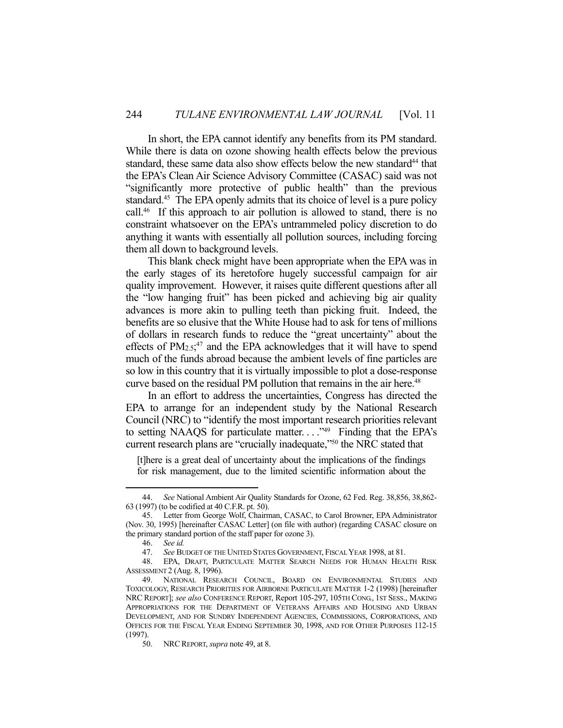In short, the EPA cannot identify any benefits from its PM standard. While there is data on ozone showing health effects below the previous standard, these same data also show effects below the new standard<sup>44</sup> that the EPA's Clean Air Science Advisory Committee (CASAC) said was not "significantly more protective of public health" than the previous standard.<sup>45</sup> The EPA openly admits that its choice of level is a pure policy call.46 If this approach to air pollution is allowed to stand, there is no constraint whatsoever on the EPA's untrammeled policy discretion to do anything it wants with essentially all pollution sources, including forcing them all down to background levels.

 This blank check might have been appropriate when the EPA was in the early stages of its heretofore hugely successful campaign for air quality improvement. However, it raises quite different questions after all the "low hanging fruit" has been picked and achieving big air quality advances is more akin to pulling teeth than picking fruit. Indeed, the benefits are so elusive that the White House had to ask for tens of millions of dollars in research funds to reduce the "great uncertainty" about the effects of  $PM_{2.5}$ <sup>47</sup> and the EPA acknowledges that it will have to spend much of the funds abroad because the ambient levels of fine particles are so low in this country that it is virtually impossible to plot a dose-response curve based on the residual PM pollution that remains in the air here.<sup>48</sup>

 In an effort to address the uncertainties, Congress has directed the EPA to arrange for an independent study by the National Research Council (NRC) to "identify the most important research priorities relevant to setting NAAQS for particulate matter...."<sup>49</sup> Finding that the EPA's current research plans are "crucially inadequate,"50 the NRC stated that

[t]here is a great deal of uncertainty about the implications of the findings for risk management, due to the limited scientific information about the

 <sup>44.</sup> *See* National Ambient Air Quality Standards for Ozone, 62 Fed. Reg. 38,856, 38,862- 63 (1997) (to be codified at 40 C.F.R. pt. 50).

 <sup>45.</sup> Letter from George Wolf, Chairman, CASAC, to Carol Browner, EPA Administrator (Nov. 30, 1995) [hereinafter CASAC Letter] (on file with author) (regarding CASAC closure on the primary standard portion of the staff paper for ozone 3).

 <sup>46.</sup> *See id.*

 <sup>47.</sup> *See* BUDGET OF THE UNITED STATES GOVERNMENT, FISCAL YEAR 1998, at 81.

 <sup>48.</sup> EPA, DRAFT, PARTICULATE MATTER SEARCH NEEDS FOR HUMAN HEALTH RISK ASSESSMENT 2 (Aug. 8, 1996).

 <sup>49.</sup> NATIONAL RESEARCH COUNCIL, BOARD ON ENVIRONMENTAL STUDIES AND TOXICOLOGY, RESEARCH PRIORITIES FOR AIRBORNE PARTICULATE MATTER 1-2 (1998) [hereinafter NRC REPORT]; *see also* CONFERENCE REPORT, Report 105-297, 105TH CONG., 1ST SESS., MAKING APPROPRIATIONS FOR THE DEPARTMENT OF VETERANS AFFAIRS AND HOUSING AND URBAN DEVELOPMENT, AND FOR SUNDRY INDEPENDENT AGENCIES, COMMISSIONS, CORPORATIONS, AND OFFICES FOR THE FISCAL YEAR ENDING SEPTEMBER 30, 1998, AND FOR OTHER PURPOSES 112-15 (1997).

 <sup>50.</sup> NRCREPORT, *supra* note 49, at 8.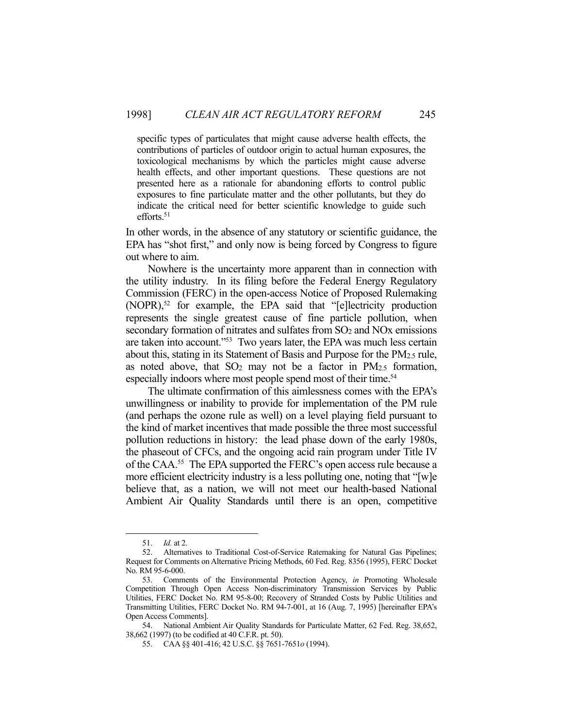specific types of particulates that might cause adverse health effects, the contributions of particles of outdoor origin to actual human exposures, the toxicological mechanisms by which the particles might cause adverse health effects, and other important questions. These questions are not presented here as a rationale for abandoning efforts to control public exposures to fine particulate matter and the other pollutants, but they do indicate the critical need for better scientific knowledge to guide such efforts. $51$ 

In other words, in the absence of any statutory or scientific guidance, the EPA has "shot first," and only now is being forced by Congress to figure out where to aim.

 Nowhere is the uncertainty more apparent than in connection with the utility industry. In its filing before the Federal Energy Regulatory Commission (FERC) in the open-access Notice of Proposed Rulemaking (NOPR),<sup>52</sup> for example, the EPA said that "[e]lectricity production represents the single greatest cause of fine particle pollution, when secondary formation of nitrates and sulfates from SO<sub>2</sub> and NO<sub>x</sub> emissions are taken into account."53 Two years later, the EPA was much less certain about this, stating in its Statement of Basis and Purpose for the PM2.5 rule, as noted above, that SO2 may not be a factor in PM2.5 formation, especially indoors where most people spend most of their time.<sup>54</sup>

 The ultimate confirmation of this aimlessness comes with the EPA's unwillingness or inability to provide for implementation of the PM rule (and perhaps the ozone rule as well) on a level playing field pursuant to the kind of market incentives that made possible the three most successful pollution reductions in history: the lead phase down of the early 1980s, the phaseout of CFCs, and the ongoing acid rain program under Title IV of the CAA.55 The EPA supported the FERC's open access rule because a more efficient electricity industry is a less polluting one, noting that "[w]e believe that, as a nation, we will not meet our health-based National Ambient Air Quality Standards until there is an open, competitive

 <sup>51.</sup> *Id.* at 2.

 <sup>52.</sup> Alternatives to Traditional Cost-of-Service Ratemaking for Natural Gas Pipelines; Request for Comments on Alternative Pricing Methods, 60 Fed. Reg. 8356 (1995), FERC Docket No. RM 95-6-000.

 <sup>53.</sup> Comments of the Environmental Protection Agency, *in* Promoting Wholesale Competition Through Open Access Non-discriminatory Transmission Services by Public Utilities, FERC Docket No. RM 95-8-00; Recovery of Stranded Costs by Public Utilities and Transmitting Utilities, FERC Docket No. RM 94-7-001, at 16 (Aug. 7, 1995) [hereinafter EPA's Open Access Comments].

 <sup>54.</sup> National Ambient Air Quality Standards for Particulate Matter, 62 Fed. Reg. 38,652, 38,662 (1997) (to be codified at 40 C.F.R. pt. 50).

 <sup>55.</sup> CAA §§ 401-416; 42 U.S.C. §§ 7651-7651*o* (1994).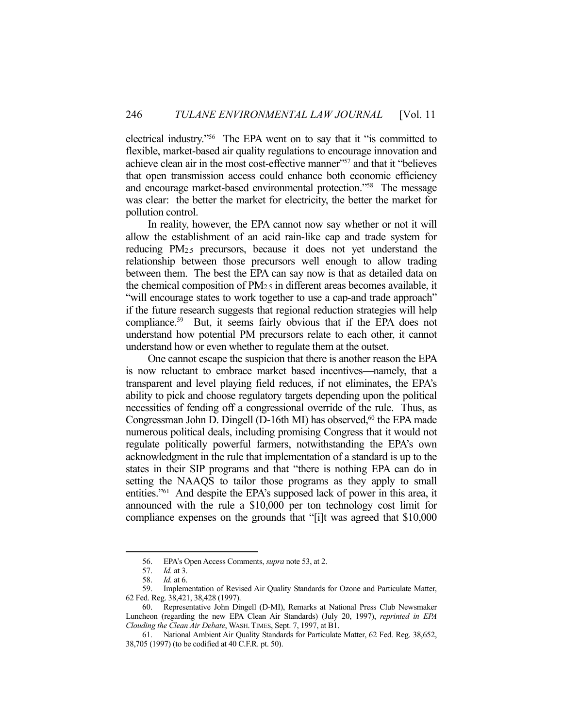electrical industry."56 The EPA went on to say that it "is committed to flexible, market-based air quality regulations to encourage innovation and achieve clean air in the most cost-effective manner"<sup>57</sup> and that it "believes that open transmission access could enhance both economic efficiency and encourage market-based environmental protection."58 The message was clear: the better the market for electricity, the better the market for pollution control.

 In reality, however, the EPA cannot now say whether or not it will allow the establishment of an acid rain-like cap and trade system for reducing PM2.5 precursors, because it does not yet understand the relationship between those precursors well enough to allow trading between them. The best the EPA can say now is that as detailed data on the chemical composition of PM2.5 in different areas becomes available, it "will encourage states to work together to use a cap-and trade approach" if the future research suggests that regional reduction strategies will help compliance.59 But, it seems fairly obvious that if the EPA does not understand how potential PM precursors relate to each other, it cannot understand how or even whether to regulate them at the outset.

 One cannot escape the suspicion that there is another reason the EPA is now reluctant to embrace market based incentives—namely, that a transparent and level playing field reduces, if not eliminates, the EPA's ability to pick and choose regulatory targets depending upon the political necessities of fending off a congressional override of the rule. Thus, as Congressman John D. Dingell (D-16th MI) has observed,<sup>60</sup> the EPA made numerous political deals, including promising Congress that it would not regulate politically powerful farmers, notwithstanding the EPA's own acknowledgment in the rule that implementation of a standard is up to the states in their SIP programs and that "there is nothing EPA can do in setting the NAAQS to tailor those programs as they apply to small entities."61 And despite the EPA's supposed lack of power in this area, it announced with the rule a \$10,000 per ton technology cost limit for compliance expenses on the grounds that "[i]t was agreed that \$10,000

 <sup>56.</sup> EPA's Open Access Comments, *supra* note 53, at 2.

 <sup>57.</sup> *Id.* at 3.

 <sup>58.</sup> *Id.* at 6.

 <sup>59.</sup> Implementation of Revised Air Quality Standards for Ozone and Particulate Matter, 62 Fed. Reg. 38,421, 38,428 (1997).

 <sup>60.</sup> Representative John Dingell (D-MI), Remarks at National Press Club Newsmaker Luncheon (regarding the new EPA Clean Air Standards) (July 20, 1997), *reprinted in EPA Clouding the Clean Air Debate*, WASH.TIMES, Sept. 7, 1997, at B1.

 <sup>61.</sup> National Ambient Air Quality Standards for Particulate Matter, 62 Fed. Reg. 38,652, 38,705 (1997) (to be codified at 40 C.F.R. pt. 50).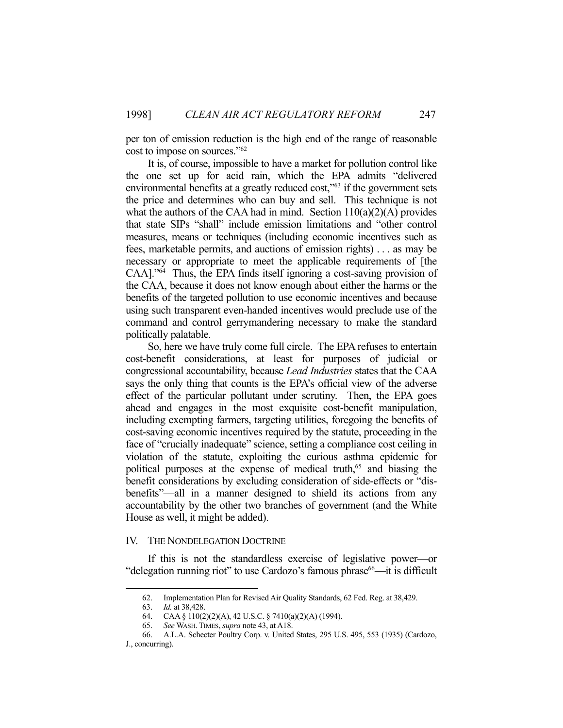per ton of emission reduction is the high end of the range of reasonable cost to impose on sources."62

 It is, of course, impossible to have a market for pollution control like the one set up for acid rain, which the EPA admits "delivered environmental benefits at a greatly reduced cost,"<sup>63</sup> if the government sets the price and determines who can buy and sell. This technique is not what the authors of the CAA had in mind. Section  $110(a)(2)(A)$  provides that state SIPs "shall" include emission limitations and "other control measures, means or techniques (including economic incentives such as fees, marketable permits, and auctions of emission rights) . . . as may be necessary or appropriate to meet the applicable requirements of [the CAA]."64 Thus, the EPA finds itself ignoring a cost-saving provision of the CAA, because it does not know enough about either the harms or the benefits of the targeted pollution to use economic incentives and because using such transparent even-handed incentives would preclude use of the command and control gerrymandering necessary to make the standard politically palatable.

 So, here we have truly come full circle. The EPA refuses to entertain cost-benefit considerations, at least for purposes of judicial or congressional accountability, because *Lead Industries* states that the CAA says the only thing that counts is the EPA's official view of the adverse effect of the particular pollutant under scrutiny. Then, the EPA goes ahead and engages in the most exquisite cost-benefit manipulation, including exempting farmers, targeting utilities, foregoing the benefits of cost-saving economic incentives required by the statute, proceeding in the face of "crucially inadequate" science, setting a compliance cost ceiling in violation of the statute, exploiting the curious asthma epidemic for political purposes at the expense of medical truth,<sup>65</sup> and biasing the benefit considerations by excluding consideration of side-effects or "disbenefits"—all in a manner designed to shield its actions from any accountability by the other two branches of government (and the White House as well, it might be added).

### IV. THE NONDELEGATION DOCTRINE

 If this is not the standardless exercise of legislative power—or "delegation running riot" to use Cardozo's famous phrase<sup>66</sup>—it is difficult

 <sup>62.</sup> Implementation Plan for Revised Air Quality Standards, 62 Fed. Reg. at 38,429.

<sup>63.</sup> *Id.* at 38,428.<br>64. **CAA** § 110(2 CAA §  $110(2)(2)(A)$ , 42 U.S.C. § 7410(a)(2)(A) (1994).

 <sup>65.</sup> *See* WASH.TIMES, *supra* note 43, at A18.

 <sup>66.</sup> A.L.A. Schecter Poultry Corp. v. United States, 295 U.S. 495, 553 (1935) (Cardozo, J., concurring).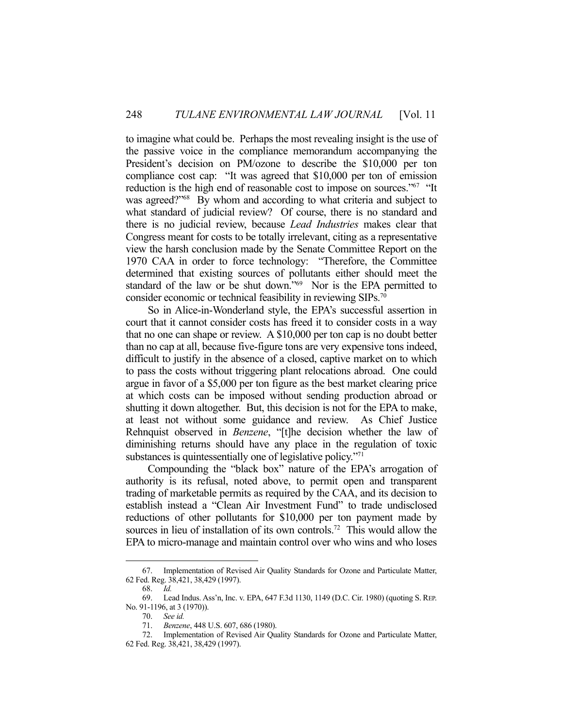to imagine what could be. Perhaps the most revealing insight is the use of the passive voice in the compliance memorandum accompanying the President's decision on PM/ozone to describe the \$10,000 per ton compliance cost cap: "It was agreed that \$10,000 per ton of emission reduction is the high end of reasonable cost to impose on sources."<sup>67</sup> "It was agreed?"68 By whom and according to what criteria and subject to what standard of judicial review? Of course, there is no standard and there is no judicial review, because *Lead Industries* makes clear that Congress meant for costs to be totally irrelevant, citing as a representative view the harsh conclusion made by the Senate Committee Report on the 1970 CAA in order to force technology: "Therefore, the Committee determined that existing sources of pollutants either should meet the standard of the law or be shut down."<sup>69</sup> Nor is the EPA permitted to consider economic or technical feasibility in reviewing SIPs.70

 So in Alice-in-Wonderland style, the EPA's successful assertion in court that it cannot consider costs has freed it to consider costs in a way that no one can shape or review. A \$10,000 per ton cap is no doubt better than no cap at all, because five-figure tons are very expensive tons indeed, difficult to justify in the absence of a closed, captive market on to which to pass the costs without triggering plant relocations abroad. One could argue in favor of a \$5,000 per ton figure as the best market clearing price at which costs can be imposed without sending production abroad or shutting it down altogether. But, this decision is not for the EPA to make, at least not without some guidance and review. As Chief Justice Rehnquist observed in *Benzene*, "[t]he decision whether the law of diminishing returns should have any place in the regulation of toxic substances is quintessentially one of legislative policy.<sup>"71</sup>

 Compounding the "black box" nature of the EPA's arrogation of authority is its refusal, noted above, to permit open and transparent trading of marketable permits as required by the CAA, and its decision to establish instead a "Clean Air Investment Fund" to trade undisclosed reductions of other pollutants for \$10,000 per ton payment made by sources in lieu of installation of its own controls.<sup>72</sup> This would allow the EPA to micro-manage and maintain control over who wins and who loses

 <sup>67.</sup> Implementation of Revised Air Quality Standards for Ozone and Particulate Matter, 62 Fed. Reg. 38,421, 38,429 (1997).

 <sup>68.</sup> *Id.* 

 <sup>69.</sup> Lead Indus. Ass'n, Inc. v. EPA, 647 F.3d 1130, 1149 (D.C. Cir. 1980) (quoting S. REP. No. 91-1196, at 3 (1970)).

 <sup>70.</sup> *See id.*

 <sup>71.</sup> *Benzene*, 448 U.S. 607, 686 (1980).

 <sup>72.</sup> Implementation of Revised Air Quality Standards for Ozone and Particulate Matter, 62 Fed. Reg. 38,421, 38,429 (1997).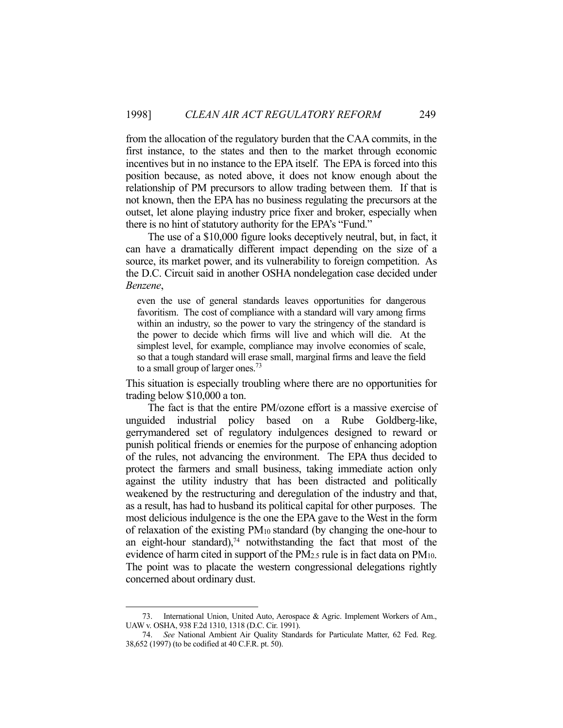from the allocation of the regulatory burden that the CAA commits, in the first instance, to the states and then to the market through economic incentives but in no instance to the EPA itself. The EPA is forced into this position because, as noted above, it does not know enough about the relationship of PM precursors to allow trading between them. If that is not known, then the EPA has no business regulating the precursors at the outset, let alone playing industry price fixer and broker, especially when there is no hint of statutory authority for the EPA's "Fund."

 The use of a \$10,000 figure looks deceptively neutral, but, in fact, it can have a dramatically different impact depending on the size of a source, its market power, and its vulnerability to foreign competition. As the D.C. Circuit said in another OSHA nondelegation case decided under *Benzene*,

even the use of general standards leaves opportunities for dangerous favoritism. The cost of compliance with a standard will vary among firms within an industry, so the power to vary the stringency of the standard is the power to decide which firms will live and which will die. At the simplest level, for example, compliance may involve economies of scale, so that a tough standard will erase small, marginal firms and leave the field to a small group of larger ones.<sup>73</sup>

This situation is especially troubling where there are no opportunities for trading below \$10,000 a ton.

 The fact is that the entire PM/ozone effort is a massive exercise of unguided industrial policy based on a Rube Goldberg-like, gerrymandered set of regulatory indulgences designed to reward or punish political friends or enemies for the purpose of enhancing adoption of the rules, not advancing the environment. The EPA thus decided to protect the farmers and small business, taking immediate action only against the utility industry that has been distracted and politically weakened by the restructuring and deregulation of the industry and that, as a result, has had to husband its political capital for other purposes. The most delicious indulgence is the one the EPA gave to the West in the form of relaxation of the existing PM10 standard (by changing the one-hour to an eight-hour standard), $74$  notwithstanding the fact that most of the evidence of harm cited in support of the PM2.5 rule is in fact data on PM10. The point was to placate the western congressional delegations rightly concerned about ordinary dust.

 <sup>73.</sup> International Union, United Auto, Aerospace & Agric. Implement Workers of Am., UAW v. OSHA, 938 F.2d 1310, 1318 (D.C. Cir. 1991).

 <sup>74.</sup> *See* National Ambient Air Quality Standards for Particulate Matter, 62 Fed. Reg. 38,652 (1997) (to be codified at 40 C.F.R. pt. 50).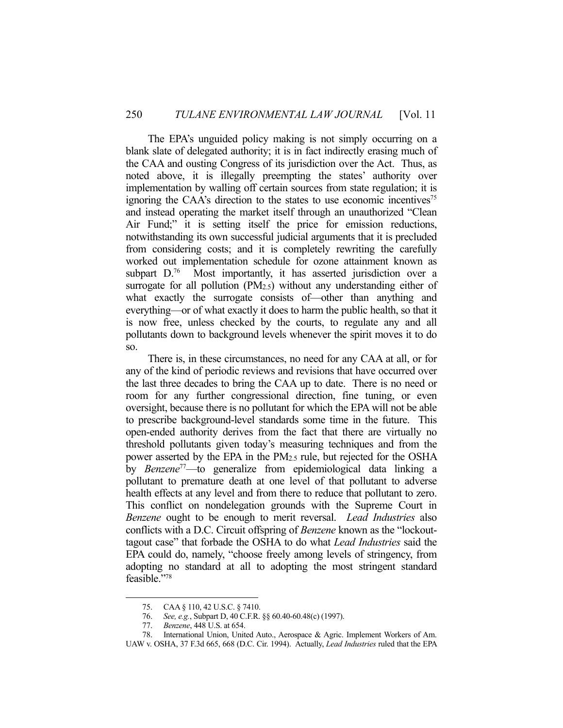The EPA's unguided policy making is not simply occurring on a blank slate of delegated authority; it is in fact indirectly erasing much of the CAA and ousting Congress of its jurisdiction over the Act. Thus, as noted above, it is illegally preempting the states' authority over implementation by walling off certain sources from state regulation; it is ignoring the CAA's direction to the states to use economic incentives<sup> $75$ </sup> and instead operating the market itself through an unauthorized "Clean Air Fund;" it is setting itself the price for emission reductions, notwithstanding its own successful judicial arguments that it is precluded from considering costs; and it is completely rewriting the carefully worked out implementation schedule for ozone attainment known as subpart D.<sup>76</sup> Most importantly, it has asserted jurisdiction over a surrogate for all pollution (PM2.5) without any understanding either of what exactly the surrogate consists of—other than anything and everything—or of what exactly it does to harm the public health, so that it is now free, unless checked by the courts, to regulate any and all pollutants down to background levels whenever the spirit moves it to do so.

 There is, in these circumstances, no need for any CAA at all, or for any of the kind of periodic reviews and revisions that have occurred over the last three decades to bring the CAA up to date. There is no need or room for any further congressional direction, fine tuning, or even oversight, because there is no pollutant for which the EPA will not be able to prescribe background-level standards some time in the future. This open-ended authority derives from the fact that there are virtually no threshold pollutants given today's measuring techniques and from the power asserted by the EPA in the PM2.5 rule, but rejected for the OSHA by *Benzene*77—to generalize from epidemiological data linking a pollutant to premature death at one level of that pollutant to adverse health effects at any level and from there to reduce that pollutant to zero. This conflict on nondelegation grounds with the Supreme Court in *Benzene* ought to be enough to merit reversal. *Lead Industries* also conflicts with a D.C. Circuit offspring of *Benzene* known as the "lockouttagout case" that forbade the OSHA to do what *Lead Industries* said the EPA could do, namely, "choose freely among levels of stringency, from adopting no standard at all to adopting the most stringent standard feasible."78

 <sup>75.</sup> CAA § 110, 42 U.S.C. § 7410.

 <sup>76.</sup> *See, e.g.*, Subpart D, 40 C.F.R. §§ 60.40-60.48(c) (1997).

 <sup>77.</sup> *Benzene*, 448 U.S. at 654.

 <sup>78.</sup> International Union, United Auto., Aerospace & Agric. Implement Workers of Am. UAW v. OSHA, 37 F.3d 665, 668 (D.C. Cir. 1994). Actually, *Lead Industries* ruled that the EPA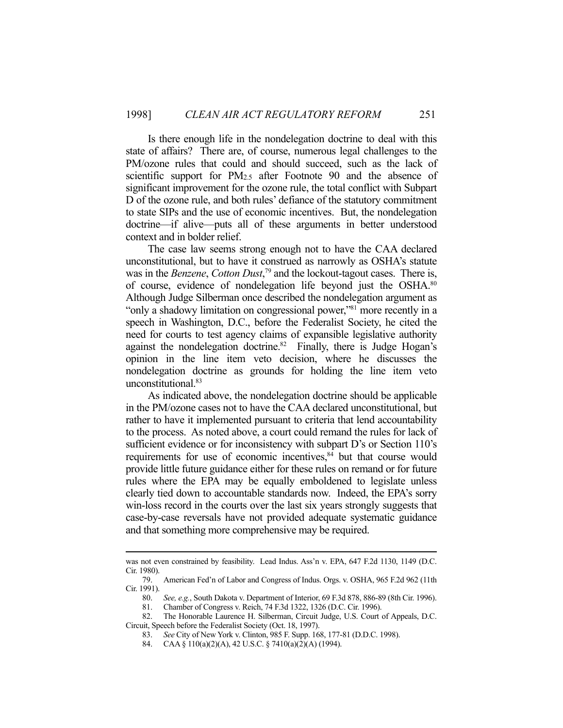Is there enough life in the nondelegation doctrine to deal with this state of affairs? There are, of course, numerous legal challenges to the PM/ozone rules that could and should succeed, such as the lack of scientific support for PM2.5 after Footnote 90 and the absence of significant improvement for the ozone rule, the total conflict with Subpart D of the ozone rule, and both rules' defiance of the statutory commitment to state SIPs and the use of economic incentives. But, the nondelegation doctrine—if alive—puts all of these arguments in better understood context and in bolder relief.

 The case law seems strong enough not to have the CAA declared unconstitutional, but to have it construed as narrowly as OSHA's statute was in the *Benzene*, *Cotton Dust*, 79 and the lockout-tagout cases. There is, of course, evidence of nondelegation life beyond just the OSHA.<sup>80</sup> Although Judge Silberman once described the nondelegation argument as "only a shadowy limitation on congressional power,"<sup>81</sup> more recently in a speech in Washington, D.C., before the Federalist Society, he cited the need for courts to test agency claims of expansible legislative authority against the nondelegation doctrine.<sup>82</sup> Finally, there is Judge Hogan's opinion in the line item veto decision, where he discusses the nondelegation doctrine as grounds for holding the line item veto unconstitutional.83

 As indicated above, the nondelegation doctrine should be applicable in the PM/ozone cases not to have the CAA declared unconstitutional, but rather to have it implemented pursuant to criteria that lend accountability to the process. As noted above, a court could remand the rules for lack of sufficient evidence or for inconsistency with subpart D's or Section 110's requirements for use of economic incentives, $8<sup>4</sup>$  but that course would provide little future guidance either for these rules on remand or for future rules where the EPA may be equally emboldened to legislate unless clearly tied down to accountable standards now. Indeed, the EPA's sorry win-loss record in the courts over the last six years strongly suggests that case-by-case reversals have not provided adequate systematic guidance and that something more comprehensive may be required.

was not even constrained by feasibility. Lead Indus. Ass'n v. EPA, 647 F.2d 1130, 1149 (D.C. Cir. 1980).

 <sup>79.</sup> American Fed'n of Labor and Congress of Indus. Orgs. v. OSHA, 965 F.2d 962 (11th Cir. 1991).

 <sup>80.</sup> *See, e.g.*, South Dakota v. Department of Interior, 69 F.3d 878, 886-89 (8th Cir. 1996).

 <sup>81.</sup> Chamber of Congress v. Reich, 74 F.3d 1322, 1326 (D.C. Cir. 1996).

 <sup>82.</sup> The Honorable Laurence H. Silberman, Circuit Judge, U.S. Court of Appeals, D.C. Circuit, Speech before the Federalist Society (Oct. 18, 1997).

 <sup>83.</sup> *See* City of New York v. Clinton, 985 F. Supp. 168, 177-81 (D.D.C. 1998).

 <sup>84.</sup> CAA § 110(a)(2)(A), 42 U.S.C. § 7410(a)(2)(A) (1994).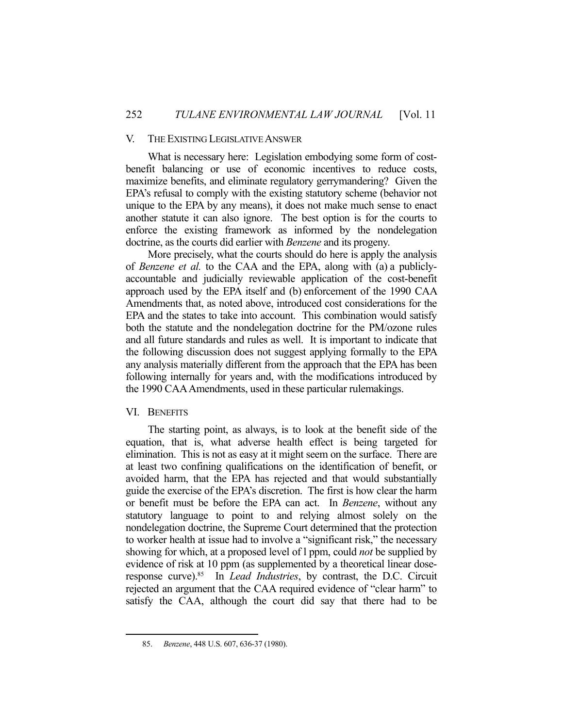# V. THE EXISTING LEGISLATIVE ANSWER

 What is necessary here: Legislation embodying some form of costbenefit balancing or use of economic incentives to reduce costs, maximize benefits, and eliminate regulatory gerrymandering? Given the EPA's refusal to comply with the existing statutory scheme (behavior not unique to the EPA by any means), it does not make much sense to enact another statute it can also ignore. The best option is for the courts to enforce the existing framework as informed by the nondelegation doctrine, as the courts did earlier with *Benzene* and its progeny.

 More precisely, what the courts should do here is apply the analysis of *Benzene et al.* to the CAA and the EPA, along with (a) a publiclyaccountable and judicially reviewable application of the cost-benefit approach used by the EPA itself and (b) enforcement of the 1990 CAA Amendments that, as noted above, introduced cost considerations for the EPA and the states to take into account. This combination would satisfy both the statute and the nondelegation doctrine for the PM/ozone rules and all future standards and rules as well. It is important to indicate that the following discussion does not suggest applying formally to the EPA any analysis materially different from the approach that the EPA has been following internally for years and, with the modifications introduced by the 1990 CAA Amendments, used in these particular rulemakings.

# VI. BENEFITS

1

 The starting point, as always, is to look at the benefit side of the equation, that is, what adverse health effect is being targeted for elimination. This is not as easy at it might seem on the surface. There are at least two confining qualifications on the identification of benefit, or avoided harm, that the EPA has rejected and that would substantially guide the exercise of the EPA's discretion. The first is how clear the harm or benefit must be before the EPA can act. In *Benzene*, without any statutory language to point to and relying almost solely on the nondelegation doctrine, the Supreme Court determined that the protection to worker health at issue had to involve a "significant risk," the necessary showing for which, at a proposed level of l ppm, could *not* be supplied by evidence of risk at 10 ppm (as supplemented by a theoretical linear doseresponse curve).85 In *Lead Industries*, by contrast, the D.C. Circuit rejected an argument that the CAA required evidence of "clear harm" to satisfy the CAA, although the court did say that there had to be

 <sup>85.</sup> *Benzene*, 448 U.S. 607, 636-37 (1980).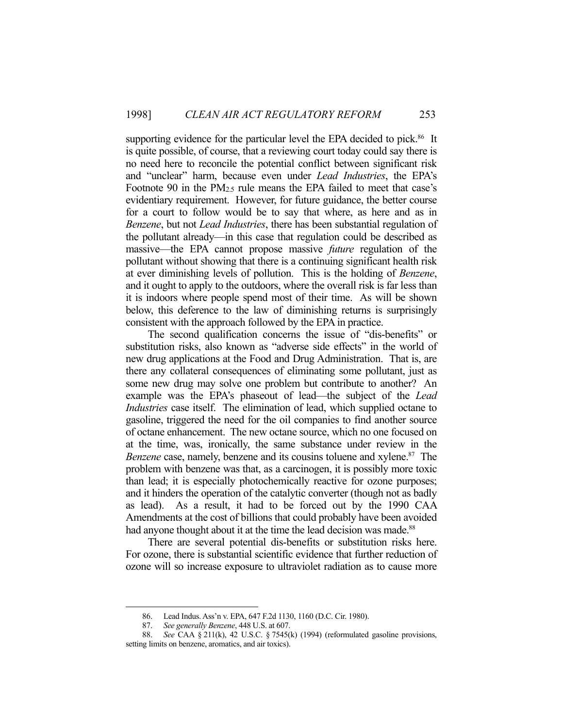supporting evidence for the particular level the EPA decided to pick.<sup>86</sup> It is quite possible, of course, that a reviewing court today could say there is no need here to reconcile the potential conflict between significant risk and "unclear" harm, because even under *Lead Industries*, the EPA's Footnote 90 in the  $PM_{2.5}$  rule means the EPA failed to meet that case's evidentiary requirement. However, for future guidance, the better course for a court to follow would be to say that where, as here and as in *Benzene*, but not *Lead Industries*, there has been substantial regulation of the pollutant already—in this case that regulation could be described as massive—the EPA cannot propose massive *future* regulation of the pollutant without showing that there is a continuing significant health risk at ever diminishing levels of pollution. This is the holding of *Benzene*, and it ought to apply to the outdoors, where the overall risk is far less than it is indoors where people spend most of their time. As will be shown below, this deference to the law of diminishing returns is surprisingly consistent with the approach followed by the EPA in practice.

 The second qualification concerns the issue of "dis-benefits" or substitution risks, also known as "adverse side effects" in the world of new drug applications at the Food and Drug Administration. That is, are there any collateral consequences of eliminating some pollutant, just as some new drug may solve one problem but contribute to another? An example was the EPA's phaseout of lead—the subject of the *Lead Industries* case itself. The elimination of lead, which supplied octane to gasoline, triggered the need for the oil companies to find another source of octane enhancement. The new octane source, which no one focused on at the time, was, ironically, the same substance under review in the *Benzene* case, namely, benzene and its cousins toluene and xylene.<sup>87</sup> The problem with benzene was that, as a carcinogen, it is possibly more toxic than lead; it is especially photochemically reactive for ozone purposes; and it hinders the operation of the catalytic converter (though not as badly as lead). As a result, it had to be forced out by the 1990 CAA Amendments at the cost of billions that could probably have been avoided had anyone thought about it at the time the lead decision was made.<sup>88</sup>

 There are several potential dis-benefits or substitution risks here. For ozone, there is substantial scientific evidence that further reduction of ozone will so increase exposure to ultraviolet radiation as to cause more

 <sup>86.</sup> Lead Indus. Ass'n v. EPA, 647 F.2d 1130, 1160 (D.C. Cir. 1980).

 <sup>87.</sup> *See generally Benzene*, 448 U.S. at 607.

 <sup>88.</sup> *See* CAA § 211(k), 42 U.S.C. § 7545(k) (1994) (reformulated gasoline provisions, setting limits on benzene, aromatics, and air toxics).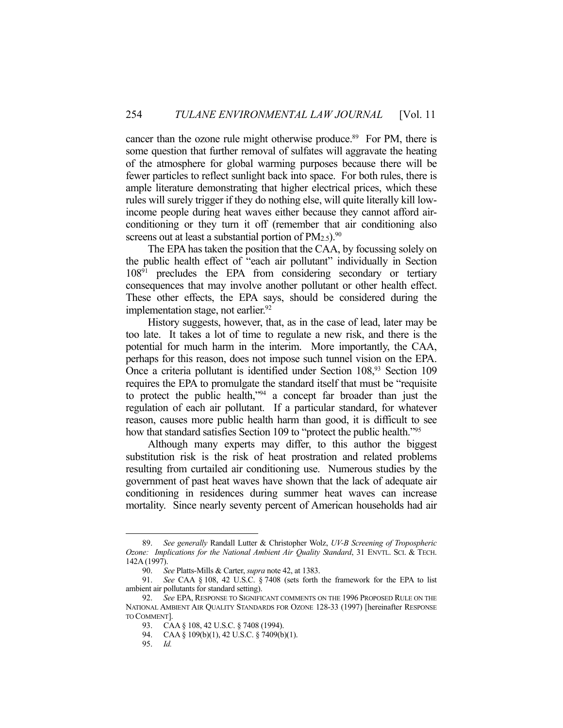cancer than the ozone rule might otherwise produce.<sup>89</sup> For PM, there is some question that further removal of sulfates will aggravate the heating of the atmosphere for global warming purposes because there will be fewer particles to reflect sunlight back into space. For both rules, there is ample literature demonstrating that higher electrical prices, which these rules will surely trigger if they do nothing else, will quite literally kill lowincome people during heat waves either because they cannot afford airconditioning or they turn it off (remember that air conditioning also screens out at least a substantial portion of  $PM_{2.5}$ ).<sup>90</sup>

 The EPA has taken the position that the CAA, by focussing solely on the public health effect of "each air pollutant" individually in Section 10891 precludes the EPA from considering secondary or tertiary consequences that may involve another pollutant or other health effect. These other effects, the EPA says, should be considered during the implementation stage, not earlier. $92$ 

 History suggests, however, that, as in the case of lead, later may be too late. It takes a lot of time to regulate a new risk, and there is the potential for much harm in the interim. More importantly, the CAA, perhaps for this reason, does not impose such tunnel vision on the EPA. Once a criteria pollutant is identified under Section 108,<sup>93</sup> Section 109 requires the EPA to promulgate the standard itself that must be "requisite to protect the public health,"94 a concept far broader than just the regulation of each air pollutant. If a particular standard, for whatever reason, causes more public health harm than good, it is difficult to see how that standard satisfies Section 109 to "protect the public health."<sup>95</sup>

 Although many experts may differ, to this author the biggest substitution risk is the risk of heat prostration and related problems resulting from curtailed air conditioning use. Numerous studies by the government of past heat waves have shown that the lack of adequate air conditioning in residences during summer heat waves can increase mortality. Since nearly seventy percent of American households had air

 <sup>89.</sup> *See generally* Randall Lutter & Christopher Wolz, *UV-B Screening of Tropospheric Ozone: Implications for the National Ambient Air Quality Standard*, 31 ENVTL. SCI. & TECH. 142A (1997).

 <sup>90.</sup> *See* Platts-Mills & Carter, *supra* note 42, at 1383.

 <sup>91.</sup> *See* CAA § 108, 42 U.S.C. § 7408 (sets forth the framework for the EPA to list ambient air pollutants for standard setting).

 <sup>92.</sup> *See* EPA, RESPONSE TO SIGNIFICANT COMMENTS ON THE 1996 PROPOSED RULE ON THE NATIONAL AMBIENT AIR QUALITY STANDARDS FOR OZONE 128-33 (1997) [hereinafter RESPONSE TO COMMENT].

 <sup>93.</sup> CAA § 108, 42 U.S.C. § 7408 (1994).

 <sup>94.</sup> CAA § 109(b)(1), 42 U.S.C. § 7409(b)(1).

 <sup>95.</sup> *Id.*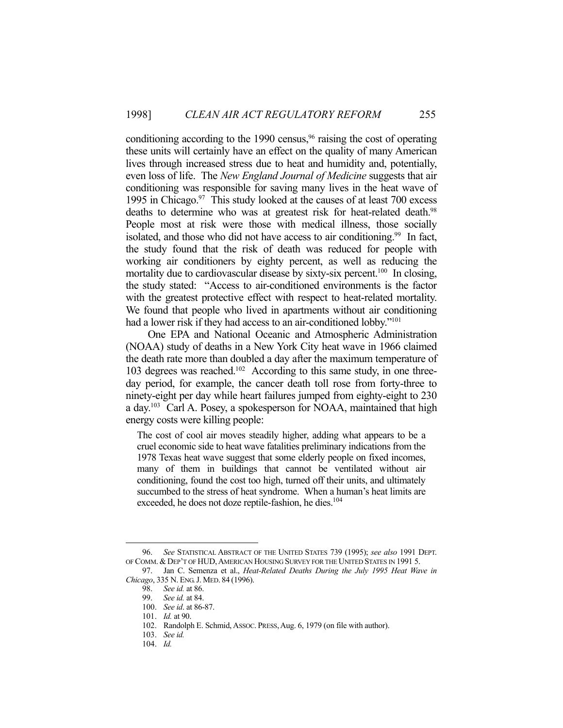conditioning according to the 1990 census,  $96$  raising the cost of operating these units will certainly have an effect on the quality of many American lives through increased stress due to heat and humidity and, potentially, even loss of life. The *New England Journal of Medicine* suggests that air conditioning was responsible for saving many lives in the heat wave of 1995 in Chicago. $97$  This study looked at the causes of at least 700 excess deaths to determine who was at greatest risk for heat-related death.<sup>98</sup> People most at risk were those with medical illness, those socially isolated, and those who did not have access to air conditioning.<sup>99</sup> In fact, the study found that the risk of death was reduced for people with working air conditioners by eighty percent, as well as reducing the mortality due to cardiovascular disease by sixty-six percent.<sup>100</sup> In closing, the study stated: "Access to air-conditioned environments is the factor with the greatest protective effect with respect to heat-related mortality. We found that people who lived in apartments without air conditioning had a lower risk if they had access to an air-conditioned lobby."<sup>101</sup>

 One EPA and National Oceanic and Atmospheric Administration (NOAA) study of deaths in a New York City heat wave in 1966 claimed the death rate more than doubled a day after the maximum temperature of 103 degrees was reached.102 According to this same study, in one threeday period, for example, the cancer death toll rose from forty-three to ninety-eight per day while heart failures jumped from eighty-eight to 230 a day.103 Carl A. Posey, a spokesperson for NOAA, maintained that high energy costs were killing people:

The cost of cool air moves steadily higher, adding what appears to be a cruel economic side to heat wave fatalities preliminary indications from the 1978 Texas heat wave suggest that some elderly people on fixed incomes, many of them in buildings that cannot be ventilated without air conditioning, found the cost too high, turned off their units, and ultimately succumbed to the stress of heat syndrome. When a human's heat limits are exceeded, he does not doze reptile-fashion, he dies.<sup>104</sup>

 <sup>96.</sup> *See* STATISTICAL ABSTRACT OF THE UNITED STATES 739 (1995); *see also* 1991 DEPT. OF COMM. & DEP'T OF HUD, AMERICAN HOUSING SURVEY FOR THE UNITED STATES IN 1991 5.

 <sup>97.</sup> Jan C. Semenza et al., *Heat-Related Deaths During the July 1995 Heat Wave in Chicago*, 335 N. ENG.J. MED. 84 (1996).

 <sup>98.</sup> *See id.* at 86.

*See id.* at 84.

 <sup>100.</sup> *See id*. at 86-87.

 <sup>101.</sup> *Id.* at 90.

 <sup>102.</sup> Randolph E. Schmid, ASSOC. PRESS,Aug. 6, 1979 (on file with author).

 <sup>103.</sup> *See id.*

 <sup>104.</sup> *Id.*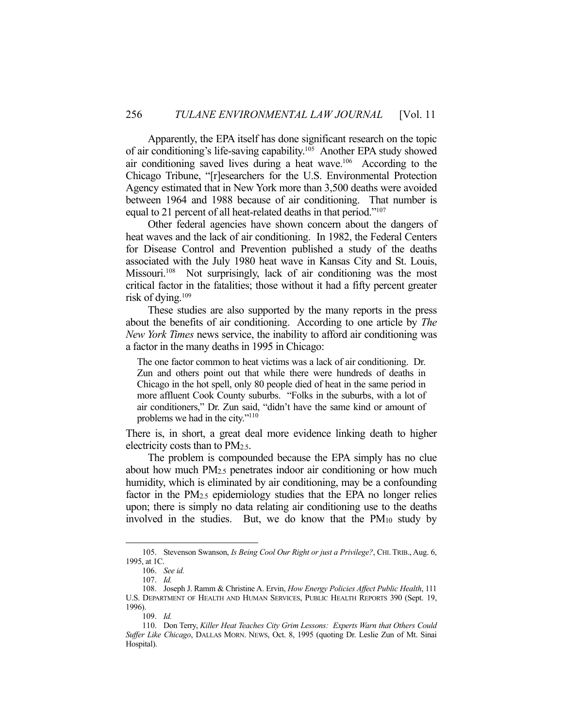Apparently, the EPA itself has done significant research on the topic of air conditioning's life-saving capability.105 Another EPA study showed air conditioning saved lives during a heat wave.106 According to the Chicago Tribune, "[r]esearchers for the U.S. Environmental Protection Agency estimated that in New York more than 3,500 deaths were avoided between 1964 and 1988 because of air conditioning. That number is equal to 21 percent of all heat-related deaths in that period."107

 Other federal agencies have shown concern about the dangers of heat waves and the lack of air conditioning. In 1982, the Federal Centers for Disease Control and Prevention published a study of the deaths associated with the July 1980 heat wave in Kansas City and St. Louis, Missouri.<sup>108</sup> Not surprisingly, lack of air conditioning was the most critical factor in the fatalities; those without it had a fifty percent greater risk of dying.109

 These studies are also supported by the many reports in the press about the benefits of air conditioning. According to one article by *The New York Times* news service, the inability to afford air conditioning was a factor in the many deaths in 1995 in Chicago:

The one factor common to heat victims was a lack of air conditioning. Dr. Zun and others point out that while there were hundreds of deaths in Chicago in the hot spell, only 80 people died of heat in the same period in more affluent Cook County suburbs. "Folks in the suburbs, with a lot of air conditioners," Dr. Zun said, "didn't have the same kind or amount of problems we had in the city."110

There is, in short, a great deal more evidence linking death to higher electricity costs than to PM2.5.

 The problem is compounded because the EPA simply has no clue about how much PM2.5 penetrates indoor air conditioning or how much humidity, which is eliminated by air conditioning, may be a confounding factor in the PM2.5 epidemiology studies that the EPA no longer relies upon; there is simply no data relating air conditioning use to the deaths involved in the studies. But, we do know that the PM10 study by

 <sup>105.</sup> Stevenson Swanson, *Is Being Cool Our Right or just a Privilege?*, CHI. TRIB., Aug. 6, 1995, at 1C.

 <sup>106.</sup> *See id.*

 <sup>107.</sup> *Id.*

 <sup>108.</sup> Joseph J. Ramm & Christine A. Ervin, *How Energy Policies Affect Public Health*, 111 U.S. DEPARTMENT OF HEALTH AND HUMAN SERVICES, PUBLIC HEALTH REPORTS 390 (Sept. 19, 1996).

 <sup>109.</sup> *Id.*

 <sup>110.</sup> Don Terry, *Killer Heat Teaches City Grim Lessons: Experts Warn that Others Could Suffer Like Chicago*, DALLAS MORN. NEWS, Oct. 8, 1995 (quoting Dr. Leslie Zun of Mt. Sinai Hospital).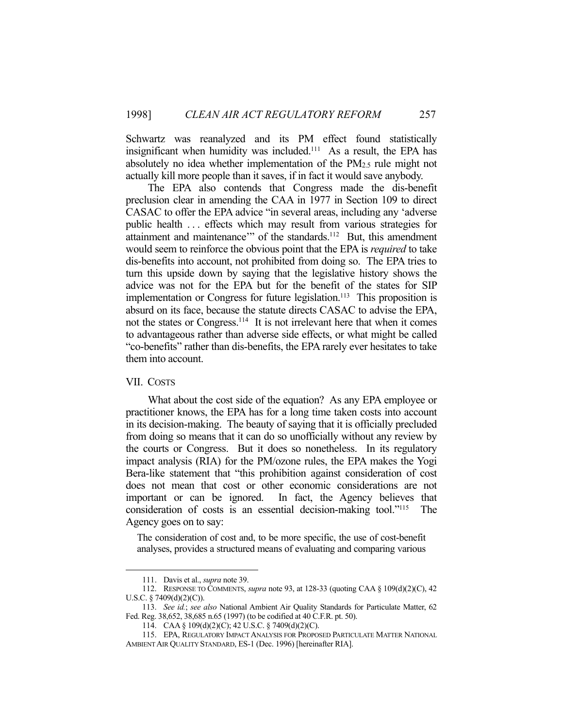Schwartz was reanalyzed and its PM effect found statistically insignificant when humidity was included.111 As a result, the EPA has absolutely no idea whether implementation of the PM2.5 rule might not actually kill more people than it saves, if in fact it would save anybody.

 The EPA also contends that Congress made the dis-benefit preclusion clear in amending the CAA in 1977 in Section 109 to direct CASAC to offer the EPA advice "in several areas, including any 'adverse public health . . . effects which may result from various strategies for attainment and maintenance" of the standards.<sup>112</sup> But, this amendment would seem to reinforce the obvious point that the EPA is *required* to take dis-benefits into account, not prohibited from doing so. The EPA tries to turn this upside down by saying that the legislative history shows the advice was not for the EPA but for the benefit of the states for SIP implementation or Congress for future legislation.<sup>113</sup> This proposition is absurd on its face, because the statute directs CASAC to advise the EPA, not the states or Congress.<sup>114</sup> It is not irrelevant here that when it comes to advantageous rather than adverse side effects, or what might be called "co-benefits" rather than dis-benefits, the EPA rarely ever hesitates to take them into account.

#### VII. COSTS

<u>.</u>

 What about the cost side of the equation? As any EPA employee or practitioner knows, the EPA has for a long time taken costs into account in its decision-making. The beauty of saying that it is officially precluded from doing so means that it can do so unofficially without any review by the courts or Congress. But it does so nonetheless. In its regulatory impact analysis (RIA) for the PM/ozone rules, the EPA makes the Yogi Bera-like statement that "this prohibition against consideration of cost does not mean that cost or other economic considerations are not important or can be ignored. In fact, the Agency believes that consideration of costs is an essential decision-making tool."115 The Agency goes on to say:

The consideration of cost and, to be more specific, the use of cost-benefit analyses, provides a structured means of evaluating and comparing various

 <sup>111.</sup> Davis et al., *supra* note 39.

 <sup>112.</sup> RESPONSE TO COMMENTS, *supra* note 93, at 128-33 (quoting CAA § 109(d)(2)(C), 42 U.S.C. § 7409(d)(2)(C)).

 <sup>113.</sup> *See id.*; *see also* National Ambient Air Quality Standards for Particulate Matter, 62 Fed. Reg. 38,652, 38,685 n.65 (1997) (to be codified at 40 C.F.R. pt. 50).

 <sup>114.</sup> CAA § 109(d)(2)(C); 42 U.S.C. § 7409(d)(2)(C).

 <sup>115.</sup> EPA, REGULATORY IMPACT ANALYSIS FOR PROPOSED PARTICULATE MATTER NATIONAL AMBIENT AIR QUALITY STANDARD, ES-1 (Dec. 1996) [hereinafter RIA].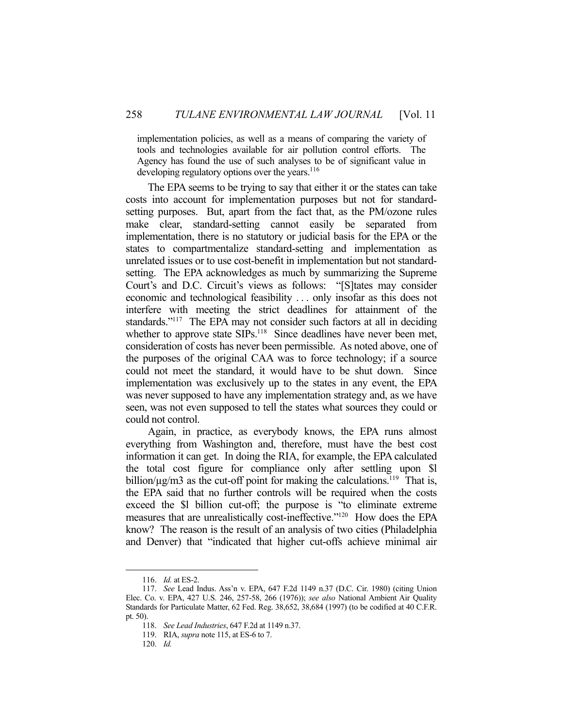implementation policies, as well as a means of comparing the variety of tools and technologies available for air pollution control efforts. The Agency has found the use of such analyses to be of significant value in developing regulatory options over the years.<sup>116</sup>

 The EPA seems to be trying to say that either it or the states can take costs into account for implementation purposes but not for standardsetting purposes. But, apart from the fact that, as the PM/ozone rules make clear, standard-setting cannot easily be separated from implementation, there is no statutory or judicial basis for the EPA or the states to compartmentalize standard-setting and implementation as unrelated issues or to use cost-benefit in implementation but not standardsetting. The EPA acknowledges as much by summarizing the Supreme Court's and D.C. Circuit's views as follows: "[S]tates may consider economic and technological feasibility . . . only insofar as this does not interfere with meeting the strict deadlines for attainment of the standards."<sup>117</sup> The EPA may not consider such factors at all in deciding whether to approve state SIPs.<sup>118</sup> Since deadlines have never been met, consideration of costs has never been permissible. As noted above, one of the purposes of the original CAA was to force technology; if a source could not meet the standard, it would have to be shut down. Since implementation was exclusively up to the states in any event, the EPA was never supposed to have any implementation strategy and, as we have seen, was not even supposed to tell the states what sources they could or could not control.

 Again, in practice, as everybody knows, the EPA runs almost everything from Washington and, therefore, must have the best cost information it can get. In doing the RIA, for example, the EPA calculated the total cost figure for compliance only after settling upon \$l billion/ $\mu$ g/m3 as the cut-off point for making the calculations.<sup>119</sup> That is, the EPA said that no further controls will be required when the costs exceed the \$l billion cut-off; the purpose is "to eliminate extreme measures that are unrealistically cost-ineffective."120 How does the EPA know? The reason is the result of an analysis of two cities (Philadelphia and Denver) that "indicated that higher cut-offs achieve minimal air

 <sup>116.</sup> *Id.* at ES-2.

 <sup>117.</sup> *See* Lead Indus. Ass'n v. EPA, 647 F.2d 1149 n.37 (D.C. Cir. 1980) (citing Union Elec. Co. v. EPA, 427 U.S. 246, 257-58, 266 (1976)); *see also* National Ambient Air Quality Standards for Particulate Matter, 62 Fed. Reg. 38,652, 38,684 (1997) (to be codified at 40 C.F.R. pt. 50).

 <sup>118.</sup> *See Lead Industries*, 647 F.2d at 1149 n.37.

 <sup>119.</sup> RIA, *supra* note 115, at ES-6 to 7.

 <sup>120.</sup> *Id.*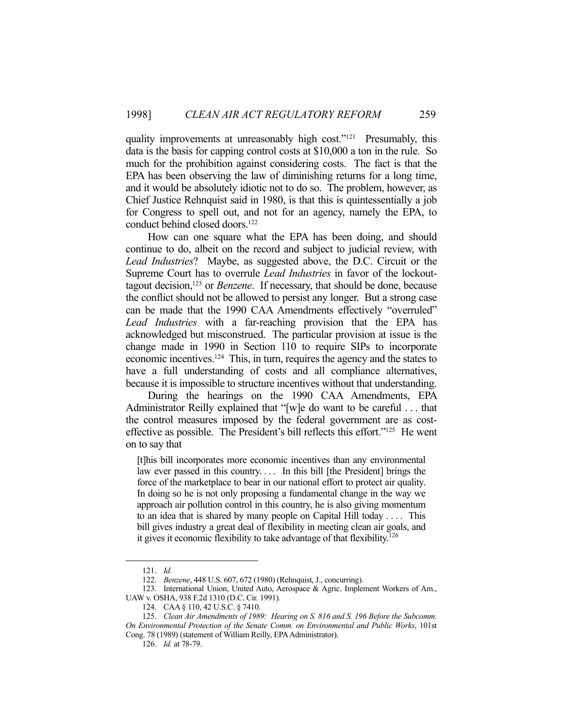quality improvements at unreasonably high cost."<sup>121</sup> Presumably, this data is the basis for capping control costs at \$10,000 a ton in the rule. So much for the prohibition against considering costs. The fact is that the EPA has been observing the law of diminishing returns for a long time, and it would be absolutely idiotic not to do so. The problem, however, as Chief Justice Rehnquist said in 1980, is that this is quintessentially a job for Congress to spell out, and not for an agency, namely the EPA, to conduct behind closed doors.<sup>122</sup>

 How can one square what the EPA has been doing, and should continue to do, albeit on the record and subject to judicial review, with *Lead Industries*? Maybe, as suggested above, the D.C. Circuit or the Supreme Court has to overrule *Lead Industries* in favor of the lockouttagout decision,123 or *Benzene*. If necessary, that should be done, because the conflict should not be allowed to persist any longer. But a strong case can be made that the 1990 CAA Amendments effectively "overruled" *Lead Industries* with a far-reaching provision that the EPA has acknowledged but misconstrued. The particular provision at issue is the change made in 1990 in Section 110 to require SIPs to incorporate economic incentives.124 This, in turn, requires the agency and the states to have a full understanding of costs and all compliance alternatives, because it is impossible to structure incentives without that understanding.

 During the hearings on the 1990 CAA Amendments, EPA Administrator Reilly explained that "[w]e do want to be careful . . . that the control measures imposed by the federal government are as costeffective as possible. The President's bill reflects this effort."125 He went on to say that

[t]his bill incorporates more economic incentives than any environmental law ever passed in this country.... In this bill [the President] brings the force of the marketplace to bear in our national effort to protect air quality. In doing so he is not only proposing a fundamental change in the way we approach air pollution control in this country, he is also giving momentum to an idea that is shared by many people on Capital Hill today . . . . This bill gives industry a great deal of flexibility in meeting clean air goals, and it gives it economic flexibility to take advantage of that flexibility.<sup>126</sup>

 <sup>121.</sup> *Id.* 

 <sup>122.</sup> *Benzene*, 448 U.S. 607, 672 (1980) (Rehnquist, J., concurring).

 <sup>123.</sup> International Union, United Auto, Aerospace & Agric. Implement Workers of Am., UAW v. OSHA, 938 F.2d 1310 (D.C. Cir. 1991).

 <sup>124.</sup> CAA § 110, 42 U.S.C. § 7410.

 <sup>125.</sup> *Clean Air Amendments of 1989: Hearing on S. 816 and S. 196 Before the Subcomm. On Environmental Protection of the Senate Comm. on Environmental and Public Works*, 101st Cong. 78 (1989) (statement of William Reilly, EPA Administrator).

 <sup>126.</sup> *Id.* at 78-79.